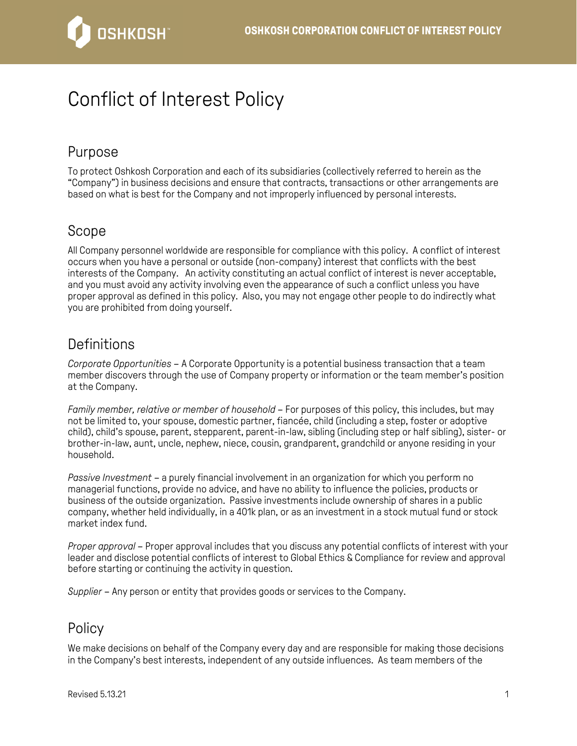

# Conflict of Interest Policy

## Purpose

To protect Oshkosh Corporation and each of its subsidiaries (collectively referred to herein as the "Company") in business decisions and ensure that contracts, transactions or other arrangements are based on what is best for the Company and not improperly influenced by personal interests.

### Scope

All Company personnel worldwide are responsible for compliance with this policy. A conflict of interest occurs when you have a personal or outside (non-company) interest that conflicts with the best interests of the Company. An activity constituting an actual conflict of interest is never acceptable, and you must avoid any activity involving even the appearance of such a conflict unless you have proper approval as defined in this policy. Also, you may not engage other people to do indirectly what you are prohibited from doing yourself.

### **Definitions**

*Corporate Opportunities* – A Corporate Opportunity is a potential business transaction that a team member discovers through the use of Company property or information or the team member's position at the Company.

*Family member, relative or member of household* – For purposes of this policy, this includes, but may not be limited to, your spouse, domestic partner, fiancée, child (including a step, foster or adoptive child), child's spouse, parent, stepparent, parent-in-law, sibling (including step or half sibling), sister- or brother-in-law, aunt, uncle, nephew, niece, cousin, grandparent, grandchild or anyone residing in your household.

*Passive Investment* – a purely financial involvement in an organization for which you perform no managerial functions, provide no advice, and have no ability to influence the policies, products or business of the outside organization. Passive investments include ownership of shares in a public company, whether held individually, in a 401k plan, or as an investment in a stock mutual fund or stock market index fund.

*Proper approval* – Proper approval includes that you discuss any potential conflicts of interest with your leader and disclose potential conflicts of interest to Global Ethics & Compliance for review and approval before starting or continuing the activity in question.

*Supplier* – Any person or entity that provides goods or services to the Company.

## Policy

We make decisions on behalf of the Company every day and are responsible for making those decisions in the Company's best interests, independent of any outside influences. As team members of the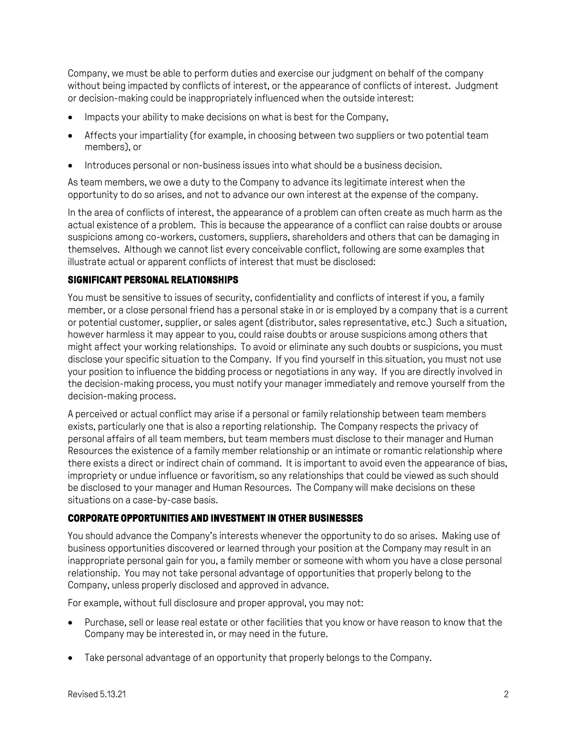Company, we must be able to perform duties and exercise our judgment on behalf of the company without being impacted by conflicts of interest, or the appearance of conflicts of interest. Judgment or decision-making could be inappropriately influenced when the outside interest:

- Impacts your ability to make decisions on what is best for the Company,
- Affects your impartiality (for example, in choosing between two suppliers or two potential team members), or
- Introduces personal or non-business issues into what should be a business decision.

As team members, we owe a duty to the Company to advance its legitimate interest when the opportunity to do so arises, and not to advance our own interest at the expense of the company.

In the area of conflicts of interest, the appearance of a problem can often create as much harm as the actual existence of a problem. This is because the appearance of a conflict can raise doubts or arouse suspicions among co-workers, customers, suppliers, shareholders and others that can be damaging in themselves. Although we cannot list every conceivable conflict, following are some examples that illustrate actual or apparent conflicts of interest that must be disclosed:

#### **SIGNIFICANT PERSONAL RELATIONSHIPS**

You must be sensitive to issues of security, confidentiality and conflicts of interest if you, a family member, or a close personal friend has a personal stake in or is employed by a company that is a current or potential customer, supplier, or sales agent (distributor, sales representative, etc.) Such a situation, however harmless it may appear to you, could raise doubts or arouse suspicions among others that might affect your working relationships. To avoid or eliminate any such doubts or suspicions, you must disclose your specific situation to the Company. If you find yourself in this situation, you must not use your position to influence the bidding process or negotiations in any way. If you are directly involved in the decision-making process, you must notify your manager immediately and remove yourself from the decision-making process.

A perceived or actual conflict may arise if a personal or family relationship between team members exists, particularly one that is also a reporting relationship. The Company respects the privacy of personal affairs of all team members, but team members must disclose to their manager and Human Resources the existence of a family member relationship or an intimate or romantic relationship where there exists a direct or indirect chain of command. It is important to avoid even the appearance of bias, impropriety or undue influence or favoritism, so any relationships that could be viewed as such should be disclosed to your manager and Human Resources. The Company will make decisions on these situations on a case-by-case basis.

#### **CORPORATE OPPORTUNITIES AND INVESTMENT IN OTHER BUSINESSES**

You should advance the Company's interests whenever the opportunity to do so arises. Making use of business opportunities discovered or learned through your position at the Company may result in an inappropriate personal gain for you, a family member or someone with whom you have a close personal relationship. You may not take personal advantage of opportunities that properly belong to the Company, unless properly disclosed and approved in advance.

For example, without full disclosure and proper approval, you may not:

- Purchase, sell or lease real estate or other facilities that you know or have reason to know that the Company may be interested in, or may need in the future.
- Take personal advantage of an opportunity that properly belongs to the Company.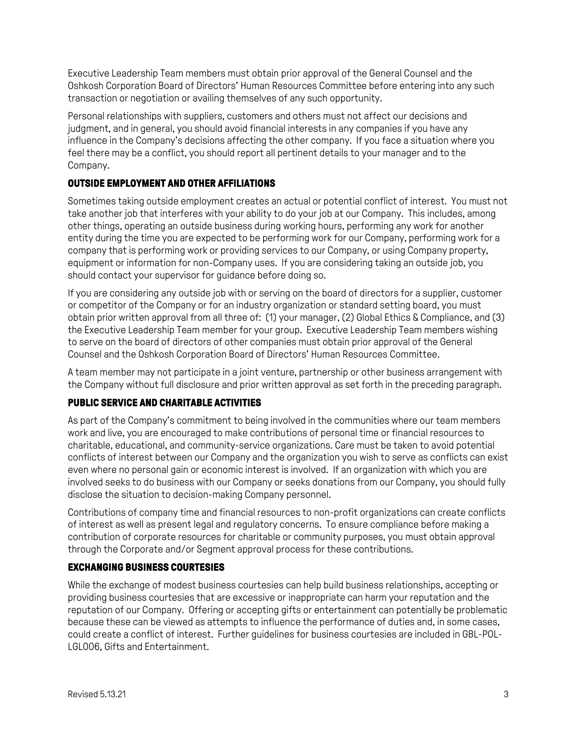Executive Leadership Team members must obtain prior approval of the General Counsel and the Oshkosh Corporation Board of Directors' Human Resources Committee before entering into any such transaction or negotiation or availing themselves of any such opportunity.

Personal relationships with suppliers, customers and others must not affect our decisions and judgment, and in general, you should avoid financial interests in any companies if you have any influence in the Company's decisions affecting the other company. If you face a situation where you feel there may be a conflict, you should report all pertinent details to your manager and to the Company.

#### **OUTSIDE EMPLOYMENT AND OTHER AFFILIATIONS**

Sometimes taking outside employment creates an actual or potential conflict of interest. You must not take another job that interferes with your ability to do your job at our Company. This includes, among other things, operating an outside business during working hours, performing any work for another entity during the time you are expected to be performing work for our Company, performing work for a company that is performing work or providing services to our Company, or using Company property, equipment or information for non-Company uses. If you are considering taking an outside job, you should contact your supervisor for guidance before doing so.

If you are considering any outside job with or serving on the board of directors for a supplier, customer or competitor of the Company or for an industry organization or standard setting board, you must obtain prior written approval from all three of: (1) your manager, (2) Global Ethics & Compliance, and (3) the Executive Leadership Team member for your group. Executive Leadership Team members wishing to serve on the board of directors of other companies must obtain prior approval of the General Counsel and the Oshkosh Corporation Board of Directors' Human Resources Committee.

A team member may not participate in a joint venture, partnership or other business arrangement with the Company without full disclosure and prior written approval as set forth in the preceding paragraph.

#### **PUBLIC SERVICE AND CHARITABLE ACTIVITIES**

As part of the Company's commitment to being involved in the communities where our team members work and live, you are encouraged to make contributions of personal time or financial resources to charitable, educational, and community-service organizations. Care must be taken to avoid potential conflicts of interest between our Company and the organization you wish to serve as conflicts can exist even where no personal gain or economic interest is involved. If an organization with which you are involved seeks to do business with our Company or seeks donations from our Company, you should fully disclose the situation to decision-making Company personnel.

Contributions of company time and financial resources to non-profit organizations can create conflicts of interest as well as present legal and regulatory concerns. To ensure compliance before making a contribution of corporate resources for charitable or community purposes, you must obtain approval through the Corporate and/or Segment approval process for these contributions.

#### **EXCHANGING BUSINESS COURTESIES**

While the exchange of modest business courtesies can help build business relationships, accepting or providing business courtesies that are excessive or inappropriate can harm your reputation and the reputation of our Company. Offering or accepting gifts or entertainment can potentially be problematic because these can be viewed as attempts to influence the performance of duties and, in some cases, could create a conflict of interest. Further guidelines for business courtesies are included in GBL-POL-LGL006, Gifts and Entertainment.